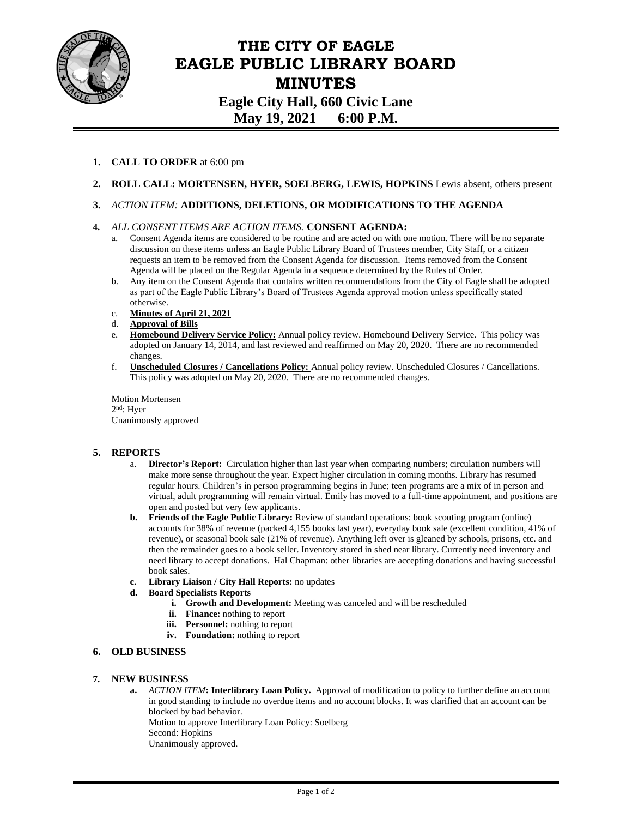

# **THE CITY OF EAGLE EAGLE PUBLIC LIBRARY BOARD MINUTES Eagle City Hall, 660 Civic Lane May 19, 2021 6:00 P.M.**

- **1. CALL TO ORDER** at 6:00 pm
- **2. ROLL CALL: MORTENSEN, HYER, SOELBERG, LEWIS, HOPKINS** Lewis absent, others present

# **3.** *ACTION ITEM:* **ADDITIONS, DELETIONS, OR MODIFICATIONS TO THE AGENDA**

# **4.** *ALL CONSENT ITEMS ARE ACTION ITEMS.* **CONSENT AGENDA:**

- a. Consent Agenda items are considered to be routine and are acted on with one motion. There will be no separate discussion on these items unless an Eagle Public Library Board of Trustees member, City Staff, or a citizen requests an item to be removed from the Consent Agenda for discussion. Items removed from the Consent Agenda will be placed on the Regular Agenda in a sequence determined by the Rules of Order.
- b. Any item on the Consent Agenda that contains written recommendations from the City of Eagle shall be adopted as part of the Eagle Public Library's Board of Trustees Agenda approval motion unless specifically stated otherwise.
- c. **Minutes of April 21, 2021**
- d. **Approval of Bills**
- e. **Homebound Delivery Service Policy:** Annual policy review. Homebound Delivery Service. This policy was adopted on January 14, 2014, and last reviewed and reaffirmed on May 20, 2020. There are no recommended changes.
- f. **Unscheduled Closures / Cancellations Policy:** Annual policy review. Unscheduled Closures / Cancellations. This policy was adopted on May 20, 2020. There are no recommended changes.

Motion Mortensen 2 nd: Hyer Unanimously approved

### **5. REPORTS**

- a. **Director's Report:** Circulation higher than last year when comparing numbers; circulation numbers will make more sense throughout the year. Expect higher circulation in coming months. Library has resumed regular hours. Children's in person programming begins in June; teen programs are a mix of in person and virtual, adult programming will remain virtual. Emily has moved to a full-time appointment, and positions are open and posted but very few applicants.
- **b. Friends of the Eagle Public Library:** Review of standard operations: book scouting program (online) accounts for 38% of revenue (packed 4,155 books last year), everyday book sale (excellent condition, 41% of revenue), or seasonal book sale (21% of revenue). Anything left over is gleaned by schools, prisons, etc. and then the remainder goes to a book seller. Inventory stored in shed near library. Currently need inventory and need library to accept donations. Hal Chapman: other libraries are accepting donations and having successful book sales.
- **c. Library Liaison / City Hall Reports:** no updates
- **d. Board Specialists Reports**
	- **i. Growth and Development:** Meeting was canceled and will be rescheduled
	- **ii. Finance:** nothing to report
	- **iii. Personnel:** nothing to report
	- **iv. Foundation:** nothing to report

### **6. OLD BUSINESS**

### **7. NEW BUSINESS**

**a.** *ACTION ITEM***: Interlibrary Loan Policy.** Approval of modification to policy to further define an account in good standing to include no overdue items and no account blocks. It was clarified that an account can be blocked by bad behavior.

Motion to approve Interlibrary Loan Policy: Soelberg

- Second: Hopkins
- Unanimously approved.